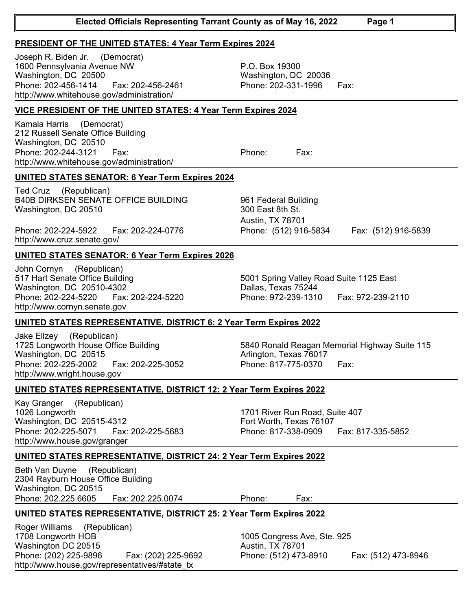| http://www.whitehouse.gov/administration/                                                                                                                                     |                                                                                                              |
|-------------------------------------------------------------------------------------------------------------------------------------------------------------------------------|--------------------------------------------------------------------------------------------------------------|
| <b>UNITED STATES SENATOR: 6 Year Term Expires 2024</b>                                                                                                                        |                                                                                                              |
| Ted Cruz (Republican)<br><b>B40B DIRKSEN SENATE OFFICE BUILDING</b><br>Washington, DC 20510<br>Phone: 202-224-5922<br>Fax: 202-224-0776                                       | 961 Federal Building<br>300 East 8th St.<br>Austin, TX 78701<br>Phone: (512) 916-5834<br>Fax: (512) 916-5839 |
| http://www.cruz.senate.gov/                                                                                                                                                   |                                                                                                              |
| <b>UNITED STATES SENATOR: 6 Year Term Expires 2026</b>                                                                                                                        |                                                                                                              |
| John Cornyn (Republican)<br>517 Hart Senate Office Building<br>Washington, DC 20510-4302<br>Phone: 202-224-5220    Fax: 202-224-5220<br>http://www.cornyn.senate.gov          | 5001 Spring Valley Road Suite 1125 East<br>Dallas, Texas 75244<br>Phone: 972-239-1310<br>Fax: 972-239-2110   |
| <b>UNITED STATES REPRESENTATIVE, DISTRICT 6: 2 Year Term Expires 2022</b>                                                                                                     |                                                                                                              |
| Jake Elizey (Republican)<br>1725 Longworth House Office Building<br>Washington, DC 20515<br>Phone: 202-225-2002<br>Fax: 202-225-3052<br>http://www.wright.house.gov           | 5840 Ronald Reagan Memorial Highway Suite 115<br>Arlington, Texas 76017<br>Phone: 817-775-0370<br>Fax:       |
|                                                                                                                                                                               |                                                                                                              |
| UNITED STATES REPRESENTATIVE, DISTRICT 12: 2 Year Term Expires 2022                                                                                                           |                                                                                                              |
| (Republican)<br>Kay Granger<br>1026 Longworth<br>Washington, DC 20515-4312<br>Phone: 202-225-5071    Fax: 202-225-5683<br>http://www.house.gov/granger                        | 1701 River Run Road, Suite 407<br>Fort Worth, Texas 76107<br>Phone: 817-338-0909<br>Fax: 817-335-5852        |
| <b>UNITED STATES REPRESENTATIVE, DISTRICT 24: 2 Year Term Expires 2022</b>                                                                                                    |                                                                                                              |
| Beth Van Duyne<br>(Republican)<br>2304 Rayburn House Office Building<br>Washington, DC 20515<br>Phone: 202.225.6605    Fax: 202.225.0074                                      | Phone:<br>Fax:                                                                                               |
| <b>UNITED STATES REPRESENTATIVE, DISTRICT 25: 2 Year Term Expires 2022</b>                                                                                                    |                                                                                                              |
| Roger Williams<br>(Republican)<br>1708 Longworth HOB<br>Washington DC 20515<br>Phone: (202) 225-9896<br>Fax: (202) 225-9692<br>http://www.house.gov/representatives/#state tx | 1005 Congress Ave, Ste. 925<br>Austin, TX 78701<br>Phone: (512) 473-8910<br>Fax: (512) 473-8946              |

## **PRESIDENT OF THE UNITED STATES: 4 Year Term Expires 2024**

1600 Pennsylvania Avenue NW Washington, DC 20500 Joseph R. Biden Jr. (Democrat) Phone: 202-456-1414 Fax: 202-456-2461 Phone: 202-331-1996 Fax: http://www.whitehouse.gov/administration/

## **VICE PRESIDENT OF THE UNITED STATES: 4 Year Term Expires 2024**

212 Russell Senate Office Building Washington, DC 20510 Kamala Harris (Democrat) Phone: 202-244-3121 Fax: Phone: Fax:

P.O. Box 19300 Washington, DC 20036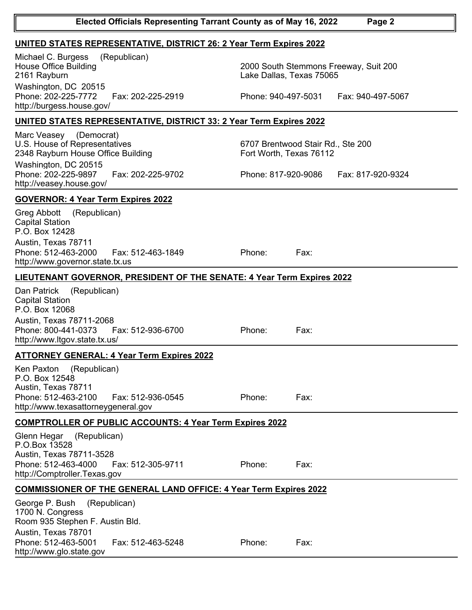| <b>UNITED STATES REPRESENTATIVE, DISTRICT 26: 2 Year Term Expires 2022</b>                                                                                                          |                                                                                                               |
|-------------------------------------------------------------------------------------------------------------------------------------------------------------------------------------|---------------------------------------------------------------------------------------------------------------|
| (Republican)<br>Michael C. Burgess<br><b>House Office Building</b><br>2161 Rayburn<br>Washington, DC 20515<br>Phone: 202-225-7772<br>Fax: 202-225-2919<br>http://burgess.house.gov/ | 2000 South Stemmons Freeway, Suit 200<br>Lake Dallas, Texas 75065<br>Phone: 940-497-5031<br>Fax: 940-497-5067 |
|                                                                                                                                                                                     |                                                                                                               |
| <b>UNITED STATES REPRESENTATIVE, DISTRICT 33: 2 Year Term Expires 2022</b>                                                                                                          |                                                                                                               |
| Marc Veasey (Democrat)<br>U.S. House of Representatives<br>2348 Rayburn House Office Building<br>Washington, DC 20515                                                               | 6707 Brentwood Stair Rd., Ste 200<br>Fort Worth, Texas 76112                                                  |
| Phone: 202-225-9897<br>Fax: 202-225-9702<br>http://veasey.house.gov/                                                                                                                | Phone: 817-920-9086<br>Fax: 817-920-9324                                                                      |
| <b>GOVERNOR: 4 Year Term Expires 2022</b>                                                                                                                                           |                                                                                                               |
| Greg Abbott (Republican)<br><b>Capital Station</b><br>P.O. Box 12428<br>Austin, Texas 78711<br>Phone: 512-463-2000<br>Fax: 512-463-1849<br>http://www.governor.state.tx.us          | Phone:<br>Fax:                                                                                                |
| LIEUTENANT GOVERNOR, PRESIDENT OF THE SENATE: 4 Year Term Expires 2022                                                                                                              |                                                                                                               |
| Dan Patrick<br>(Republican)<br><b>Capital Station</b><br>P.O. Box 12068<br>Austin, Texas 78711-2068<br>Phone: 800-441-0373<br>Fax: 512-936-6700<br>http://www.ltgov.state.tx.us/    | Phone:<br>Fax:                                                                                                |
| <b>ATTORNEY GENERAL: 4 Year Term Expires 2022</b>                                                                                                                                   |                                                                                                               |
| <b>Ken Paxton</b><br>(Republican)<br>P.O. Box 12548<br>Austin, Texas 78711<br>Phone: 512-463-2100<br>Fax: 512-936-0545<br>http://www.texasattorneygeneral.gov                       | Phone:<br>Fax:                                                                                                |
| <b>COMPTROLLER OF PUBLIC ACCOUNTS: 4 Year Term Expires 2022</b>                                                                                                                     |                                                                                                               |
| (Republican)<br>Glenn Hegar<br>P.O.Box 13528<br>Austin, Texas 78711-3528<br>Phone: 512-463-4000<br>Fax: 512-305-9711<br>http://Comptroller.Texas.gov                                | Phone:<br>Fax:                                                                                                |
| <b>COMMISSIONER OF THE GENERAL LAND OFFICE: 4 Year Term Expires 2022</b>                                                                                                            |                                                                                                               |
| George P. Bush<br>(Republican)<br>1700 N. Congress<br>Room 935 Stephen F. Austin Bld.<br>Austin, Texas 78701                                                                        |                                                                                                               |
| Phone: 512-463-5001<br>Fax: 512-463-5248<br>http://www.glo.state.gov                                                                                                                | Phone:<br>Fax:                                                                                                |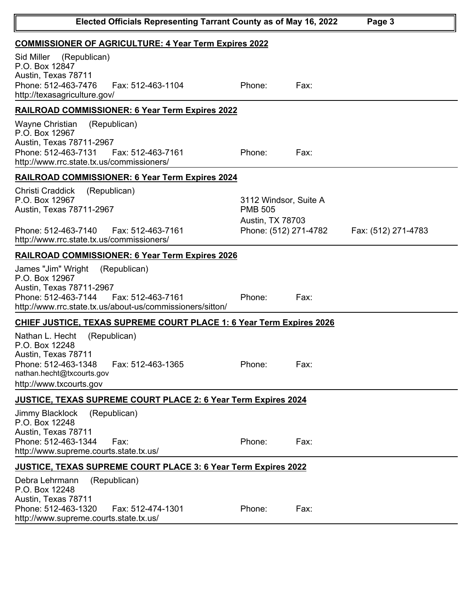| Elected Officials Representing Tarrant County as of May 16, 2022                                                                                                                          | Page 3                                                                               |      |                     |  |
|-------------------------------------------------------------------------------------------------------------------------------------------------------------------------------------------|--------------------------------------------------------------------------------------|------|---------------------|--|
| <b>COMMISSIONER OF AGRICULTURE: 4 Year Term Expires 2022</b>                                                                                                                              |                                                                                      |      |                     |  |
| Sid Miller (Republican)<br>P.O. Box 12847<br>Austin, Texas 78711<br>Phone: 512-463-7476<br>Fax: 512-463-1104<br>http://texasagriculture.gov/                                              | Phone:                                                                               | Fax: |                     |  |
| <b>RAILROAD COMMISSIONER: 6 Year Term Expires 2022</b>                                                                                                                                    |                                                                                      |      |                     |  |
| Wayne Christian<br>(Republican)<br>P.O. Box 12967<br>Austin, Texas 78711-2967<br>Phone: 512-463-7131<br>Fax: 512-463-7161<br>http://www.rrc.state.tx.us/commissioners/                    | Phone:                                                                               | Fax: |                     |  |
| <b>RAILROAD COMMISSIONER: 6 Year Term Expires 2024</b>                                                                                                                                    |                                                                                      |      |                     |  |
| Christi Craddick<br>(Republican)<br>P.O. Box 12967<br>Austin, Texas 78711-2967<br>Phone: 512-463-7140<br>Fax: 512-463-7161<br>http://www.rrc.state.tx.us/commissioners/                   | 3112 Windsor, Suite A<br><b>PMB 505</b><br>Austin, TX 78703<br>Phone: (512) 271-4782 |      | Fax: (512) 271-4783 |  |
| <b>RAILROAD COMMISSIONER: 6 Year Term Expires 2026</b>                                                                                                                                    |                                                                                      |      |                     |  |
| James "Jim" Wright<br>(Republican)<br>P.O. Box 12967<br>Austin, Texas 78711-2967<br>Phone: 512-463-7144<br>Fax: 512-463-7161<br>http://www.rrc.state.tx.us/about-us/commissioners/sitton/ | Phone:                                                                               | Fax: |                     |  |
| <b>CHIEF JUSTICE, TEXAS SUPREME COURT PLACE 1: 6 Year Term Expires 2026</b>                                                                                                               |                                                                                      |      |                     |  |
| Nathan L. Hecht<br>(Republican)<br>P.O. Box 12248<br>Austin, Texas 78711<br>Fax: 512-463-1365<br>Phone: 512-463-1348<br>nathan.hecht@txcourts.gov<br>http://www.txcourts.gov              | Phone:                                                                               | Fax: |                     |  |
| <b>JUSTICE, TEXAS SUPREME COURT PLACE 2: 6 Year Term Expires 2024</b>                                                                                                                     |                                                                                      |      |                     |  |
| <b>Jimmy Blacklock</b><br>(Republican)<br>P.O. Box 12248<br>Austin, Texas 78711<br>Phone: 512-463-1344<br>Fax:<br>http://www.supreme.courts.state.tx.us/                                  | Phone:                                                                               | Fax: |                     |  |
| <b>JUSTICE, TEXAS SUPREME COURT PLACE 3: 6 Year Term Expires 2022</b>                                                                                                                     |                                                                                      |      |                     |  |
| Debra Lehrmann<br>(Republican)<br>P.O. Box 12248<br>Austin, Texas 78711<br>Phone: 512-463-1320<br>Fax: 512-474-1301<br>http://www.supreme.courts.state.tx.us/                             | Phone:                                                                               | Fax: |                     |  |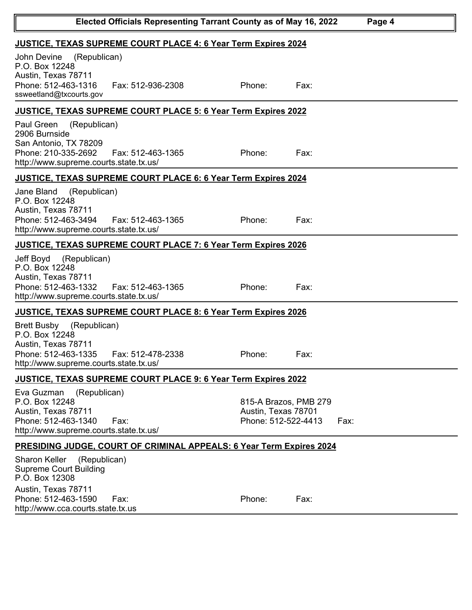| Elected Officials Representing Tarrant County as of May 16, 2022<br>Page 4                                                                                 |                                                                             |      |  |  |
|------------------------------------------------------------------------------------------------------------------------------------------------------------|-----------------------------------------------------------------------------|------|--|--|
| <b>JUSTICE, TEXAS SUPREME COURT PLACE 4: 6 Year Term Expires 2024</b>                                                                                      |                                                                             |      |  |  |
| (Republican)<br>John Devine<br>P.O. Box 12248<br>Austin, Texas 78711<br>Phone: 512-463-1316<br>Fax: 512-936-2308<br>ssweetland@txcourts.gov                | Phone:                                                                      | Fax: |  |  |
| <b>JUSTICE, TEXAS SUPREME COURT PLACE 5: 6 Year Term Expires 2022</b>                                                                                      |                                                                             |      |  |  |
| Paul Green<br>(Republican)<br>2906 Burnside<br>San Antonio, TX 78209<br>Phone: 210-335-2692<br>Fax: 512-463-1365<br>http://www.supreme.courts.state.tx.us/ | Phone:                                                                      | Fax: |  |  |
| <b>JUSTICE, TEXAS SUPREME COURT PLACE 6: 6 Year Term Expires 2024</b>                                                                                      |                                                                             |      |  |  |
| Jane Bland (Republican)<br>P.O. Box 12248<br>Austin, Texas 78711<br>Phone: 512-463-3494<br>Fax: 512-463-1365<br>http://www.supreme.courts.state.tx.us/     | Phone:                                                                      | Fax: |  |  |
| <b>JUSTICE, TEXAS SUPREME COURT PLACE 7: 6 Year Term Expires 2026</b>                                                                                      |                                                                             |      |  |  |
| Jeff Boyd<br>(Republican)<br>P.O. Box 12248<br>Austin, Texas 78711<br>Phone: 512-463-1332<br>Fax: 512-463-1365<br>http://www.supreme.courts.state.tx.us/   | Phone:                                                                      | Fax: |  |  |
| <b>JUSTICE, TEXAS SUPREME COURT PLACE 8: 6 Year Term Expires 2026</b>                                                                                      |                                                                             |      |  |  |
| (Republican)<br>Brett Busby<br>P.O. Box 12248<br>Austin, Texas 78711<br>Phone: 512-463-1335<br>Fax: 512-478-2338<br>http://www.supreme.courts.state.tx.us/ | Phone:                                                                      | Fax: |  |  |
| JUSTICE, TEXAS SUPREME COURT PLACE 9: 6 Year Term Expires 2022                                                                                             |                                                                             |      |  |  |
| (Republican)<br>Eva Guzman<br>P.O. Box 12248<br>Austin, Texas 78711<br>Phone: 512-463-1340<br>Fax:<br>http://www.supreme.courts.state.tx.us/               | 815-A Brazos, PMB 279<br>Austin, Texas 78701<br>Phone: 512-522-4413         | Fax: |  |  |
|                                                                                                                                                            | <b>PRESIDING JUDGE, COURT OF CRIMINAL APPEALS: 6 Year Term Expires 2024</b> |      |  |  |
| Sharon Keller<br>(Republican)<br><b>Supreme Court Building</b><br>P.O. Box 12308<br>Austin, Texas 78711                                                    |                                                                             |      |  |  |
| Phone: 512-463-1590<br>Fax:<br>http://www.cca.courts.state.tx.us                                                                                           | Phone:                                                                      | Fax: |  |  |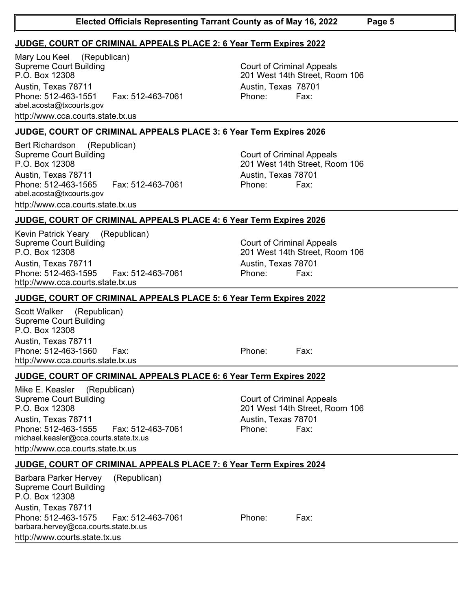## **JUDGE, COURT OF CRIMINAL APPEALS PLACE 2: 6 Year Term Expires 2022**

Supreme Court Building P.O. Box 12308 Mary Lou Keel (Republican) Austin, Texas 78711 Austin, Texas 78701 Phone: 512-463-1551 Fax: 512-463-7061 Phone: Fax: abel.acosta@txcourts.gov http://www.cca.courts.state.tx.us

**JUDGE, COURT OF CRIMINAL APPEALS PLACE 3: 6 Year Term Expires 2026**

Supreme Court Building P.O. Box 12308 Bert Richardson (Republican) Austin, Texas 78711 Austin, Texas 78701 Phone: 512-463-1565 Fax: 512-463-7061 Phone: Fax: abel.acosta@txcourts.gov http://www.cca.courts.state.tx.us

**JUDGE, COURT OF CRIMINAL APPEALS PLACE 4: 6 Year Term Expires 2026**

Supreme Court Building P.O. Box 12308 Kevin Patrick Yeary (Republican) Austin, Texas 78711 Austin, Texas 78701 Phone: 512-463-1595 Fax: 512-463-7061 Phone: Fax: http://www.cca.courts.state.tx.us

## **JUDGE, COURT OF CRIMINAL APPEALS PLACE 5: 6 Year Term Expires 2022**

Supreme Court Building P.O. Box 12308 Scott Walker (Republican) Austin, Texas 78711 Phone: 512-463-1560 Fax: Phone: Fax: http://www.cca.courts.state.tx.us

Mike E. Keasler (Republican)

michael.keasler@cca.courts.state.tx.us http://www.cca.courts.state.tx.us

Supreme Court Building

P.O. Box 12308

Court of Criminal Appeals 201 West 14th Street, Room 106 Austin, Texas 78711 Austin, Texas 78701 Phone: 512-463-1555 Fax: 512-463-7061 Phone: Fax:

# **JUDGE, COURT OF CRIMINAL APPEALS PLACE 7: 6 Year Term Expires 2024**

Supreme Court Building P.O. Box 12308 Barbara Parker Hervey (Republican) Austin, Texas 78711 Phone: 512-463-1575 Fax: 512-463-7061 Phone: Fax: barbara.hervey@cca.courts.state.tx.us http://www.courts.state.tx.us

Court of Criminal Appeals 201 West 14th Street, Room 106

Court of Criminal Appeals 201 West 14th Street, Room 106

**JUDGE, COURT OF CRIMINAL APPEALS PLACE 6: 6 Year Term Expires 2022**

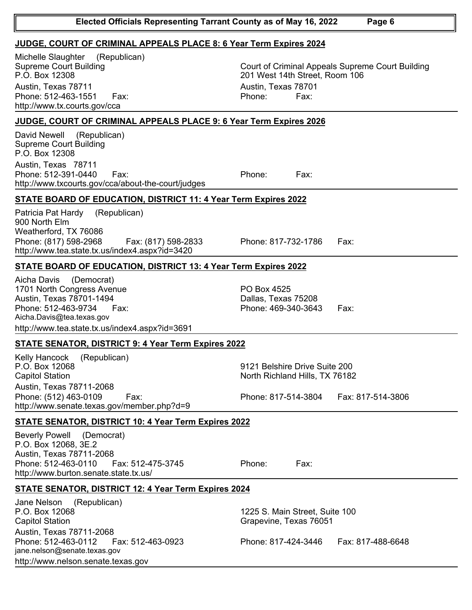| P.O. Box 12308                                                                                                                                                                                 | 201 West 14th Street, Room 106                                                                              |
|------------------------------------------------------------------------------------------------------------------------------------------------------------------------------------------------|-------------------------------------------------------------------------------------------------------------|
| Austin, Texas 78711                                                                                                                                                                            | Austin, Texas 78701                                                                                         |
| Phone: 512-463-1551<br>Fax:                                                                                                                                                                    | Phone:<br>Fax:                                                                                              |
| http://www.tx.courts.gov/cca                                                                                                                                                                   |                                                                                                             |
| <b>JUDGE, COURT OF CRIMINAL APPEALS PLACE 9: 6 Year Term Expires 2026</b>                                                                                                                      |                                                                                                             |
| David Newell<br>(Republican)<br><b>Supreme Court Building</b><br>P.O. Box 12308<br>Austin, Texas 78711<br>Phone: 512-391-0440<br>Fax:<br>http://www.txcourts.gov/cca/about-the-court/judges    | Phone:<br>Fax:                                                                                              |
| <b>STATE BOARD OF EDUCATION, DISTRICT 11: 4 Year Term Expires 2022</b>                                                                                                                         |                                                                                                             |
| Patricia Pat Hardy<br>(Republican)<br>900 North Elm<br>Weatherford, TX 76086<br>Phone: (817) 598-2968<br>Fax: (817) 598-2833<br>http://www.tea.state.tx.us/index4.aspx?id=3420                 | Phone: 817-732-1786<br>Fax:                                                                                 |
| <b>STATE BOARD OF EDUCATION, DISTRICT 13: 4 Year Term Expires 2022</b>                                                                                                                         |                                                                                                             |
| Aicha Davis (Democrat)<br>1701 North Congress Avenue<br>Austin, Texas 78701-1494<br>Phone: 512-463-9734<br>Fax:<br>Aicha.Davis@tea.texas.gov<br>http://www.tea.state.tx.us/index4.aspx?id=3691 | PO Box 4525<br>Dallas, Texas 75208<br>Phone: 469-340-3643<br>Fax:                                           |
| <b>STATE SENATOR, DISTRICT 9: 4 Year Term Expires 2022</b>                                                                                                                                     |                                                                                                             |
| <b>Kelly Hancock</b><br>(Republican)<br>P.O. Box 12068<br><b>Capitol Station</b><br>Austin, Texas 78711-2068<br>Phone: (512) 463-0109<br>Fax:                                                  | 9121 Belshire Drive Suite 200<br>North Richland Hills, TX 76182<br>Phone: 817-514-3804<br>Fax: 817-514-3806 |
| http://www.senate.texas.gov/member.php?d=9                                                                                                                                                     |                                                                                                             |
| <b>STATE SENATOR, DISTRICT 10: 4 Year Term Expires 2022</b>                                                                                                                                    |                                                                                                             |
| <b>Beverly Powell</b><br>(Democrat)<br>P.O. Box 12068, 3E.2<br>Austin, Texas 78711-2068<br>Phone: 512-463-0110<br>Fax: 512-475-3745<br>http://www.burton.senate.state.tx.us/                   | Phone:<br>Fax:                                                                                              |
| <b>STATE SENATOR, DISTRICT 12: 4 Year Term Expires 2024</b>                                                                                                                                    |                                                                                                             |
| Jane Nelson<br>(Republican)<br>P.O. Box 12068<br><b>Capitol Station</b><br>Austin, Texas 78711-2068                                                                                            | 1225 S. Main Street, Suite 100<br>Grapevine, Texas 76051                                                    |
| Phone: 512-463-0112<br>Fax: 512-463-0923<br>jane.nelson@senate.texas.gov<br>http://www.nelson.senate.texas.gov                                                                                 | Phone: 817-424-3446<br>Fax: 817-488-6648                                                                    |
|                                                                                                                                                                                                |                                                                                                             |

Supreme Court Building P.O. Box 12308 Michelle Slaughter (Republican)

201 West 14th Street, Room 106

## **JUDGE, COURT OF CRIMINAL APPEALS PLACE 8: 6 Year Term Expires 2024**

Court of Criminal Appeals Supreme Court Building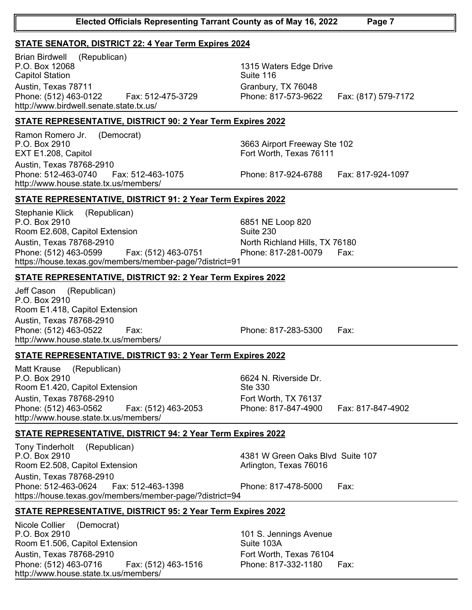## **STATE SENATOR, DISTRICT 22: 4 Year Term Expires 2024**

P.O. Box 12068 Capitol Station Brian Birdwell (Republican) Austin, Texas 78711 Granbury, TX 76048 Phone: (512) 463-0122 Fax: 512-475-3729 Phone: 817-573-9622 Fax: (817) 579-7172 http://www.birdwell.senate.state.tx.us/

1315 Waters Edge Drive Suite 116

## **STATE REPRESENTATIVE, DISTRICT 90: 2 Year Term Expires 2022**

P.O. Box 2910 EXT E1.208, Capitol Ramon Romero Jr. (Democrat) Austin, Texas 78768-2910 Phone: 512-463-0740 Fax: 512-463-1075 Phone: 817-924-6788 Fax: 817-924-1097 http://www.house.state.tx.us/members/

3663 Airport Freeway Ste 102 Fort Worth, Texas 76111

## **STATE REPRESENTATIVE, DISTRICT 91: 2 Year Term Expires 2022**

P.O. Box 2910 Room E2.608, Capitol Extension Stephanie Klick (Republican) Austin, Texas 78768-2910 **North Richland Hills, TX 76180** Phone: (512) 463-0599 Fax: (512) 463-0751 Phone: 817-281-0079 Fax: https://house.texas.gov/members/member-page/?district=91

### **STATE REPRESENTATIVE, DISTRICT 92: 2 Year Term Expires 2022**

P.O. Box 2910 Room E1.418, Capitol Extension Jeff Cason (Republican) Austin, Texas 78768-2910 Phone: (512) 463-0522 Fax: Phone: 817-283-5300 Fax: http://www.house.state.tx.us/members/

## **STATE REPRESENTATIVE, DISTRICT 93: 2 Year Term Expires 2022**

P.O. Box 2910 Room E1.420, Capitol Extension Matt Krause (Republican) Austin, Texas 78768-2910 **Fort Worth, TX 76137** Phone: (512) 463-0562 Fax: (512) 463-2053 Phone: 817-847-4900 Fax: 817-847-4902 http://www.house.state.tx.us/members/

6624 N. Riverside Dr. Ste 330

### **STATE REPRESENTATIVE, DISTRICT 94: 2 Year Term Expires 2022**

P.O. Box 2910 Room E2.508, Capitol Extension Tony Tinderholt (Republican) 4381 W Green Oaks Blvd Suite 107 Arlington, Texas 76016 Austin, Texas 78768-2910 Phone: 512-463-0624 Fax: 512-463-1398 Phone: 817-478-5000 Fax: https://house.texas.gov/members/member-page/?district=94

### **STATE REPRESENTATIVE, DISTRICT 95: 2 Year Term Expires 2022**

P.O. Box 2910 Room E1.506, Capitol Extension Nicole Collier (Democrat) Austin, Texas 78768-2910 **Fort Worth, Texas 76104** Phone: (512) 463-0716 Fax: (512) 463-1516 Phone: 817-332-1180 Fax: http://www.house.state.tx.us/members/

101 S. Jennings Avenue Suite 103A

6851 NE Loop 820 Suite 230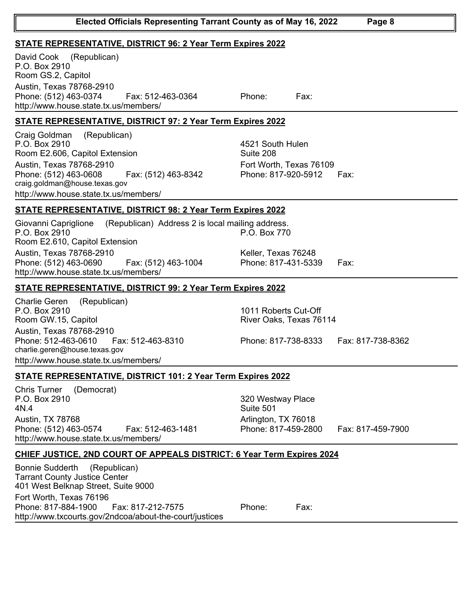### **STATE REPRESENTATIVE, DISTRICT 96: 2 Year Term Expires 2022**

P.O. Box 2910 Room GS.2, Capitol David Cook (Republican) Austin, Texas 78768-2910 Phone: (512) 463-0374 Fax: 512-463-0364 Phone: Fax: http://www.house.state.tx.us/members/

## **STATE REPRESENTATIVE, DISTRICT 97: 2 Year Term Expires 2022**

P.O. Box 2910 Room E2.606, Capitol Extension Craig Goldman (Republican) Austin, Texas 78768-2910 **Fort Worth, Texas 76109** Phone: (512) 463-0608 Fax: (512) 463-8342 Phone: 817-920-5912 Fax: craig.goldman@house.texas.gov http://www.house.state.tx.us/members/

4521 South Hulen Suite 208

## **STATE REPRESENTATIVE, DISTRICT 98: 2 Year Term Expires 2022**

P.O. Box 2910 Room E2.610, Capitol Extension Giovanni Capriglione (Republican) Address 2 is local mailing address. Austin, Texas 78768-2910 Keller, Texas 76248 Phone: (512) 463-0690 Fax: (512) 463-1004 Phone: 817-431-5339 Fax: http://www.house.state.tx.us/members/

## **STATE REPRESENTATIVE, DISTRICT 99: 2 Year Term Expires 2022**

P.O. Box 2910 Room GW.15, Capitol Charlie Geren (Republican) Austin, Texas 78768-2910 Phone: 512-463-0610 Fax: 512-463-8310 Phone: 817-738-8333 Fax: 817-738-8362 charlie.geren@house.texas.gov http://www.house.state.tx.us/members/

1011 Roberts Cut-Off River Oaks, Texas 76114

P.O. Box 770

#### **STATE REPRESENTATIVE, DISTRICT 101: 2 Year Term Expires 2022**

P.O. Box 2910 4N.4 Chris Turner (Democrat) Austin, TX 78768 **Arlington, TX 76018** Phone: (512) 463-0574 Fax: 512-463-1481 Phone: 817-459-2800 Fax: 817-459-7900 http://www.house.state.tx.us/members/

320 Westway Place Suite 501

## **CHIEF JUSTICE, 2ND COURT OF APPEALS DISTRICT: 6 Year Term Expires 2024**

Tarrant County Justice Center 401 West Belknap Street, Suite 9000 Bonnie Sudderth (Republican) Fort Worth, Texas 76196 Phone: 817-884-1900 Fax: 817-212-7575 Phone: Fax: http://www.txcourts.gov/2ndcoa/about-the-court/justices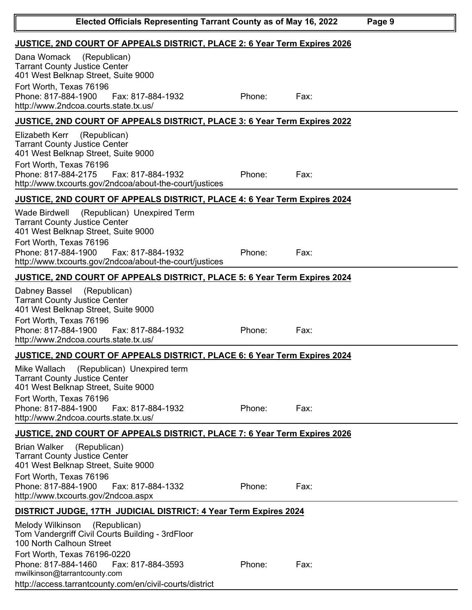| Elected Officials Representing Tarrant County as of May 16, 2022                                                                                                                                                                                                     |                                                                                  |      | Page 9 |  |
|----------------------------------------------------------------------------------------------------------------------------------------------------------------------------------------------------------------------------------------------------------------------|----------------------------------------------------------------------------------|------|--------|--|
| <b>JUSTICE, 2ND COURT OF APPEALS DISTRICT, PLACE 2: 6 Year Term Expires 2026</b>                                                                                                                                                                                     |                                                                                  |      |        |  |
| Dana Womack<br>(Republican)<br><b>Tarrant County Justice Center</b><br>401 West Belknap Street, Suite 9000<br>Fort Worth, Texas 76196                                                                                                                                |                                                                                  |      |        |  |
| Phone: 817-884-1900<br>Fax: 817-884-1932<br>http://www.2ndcoa.courts.state.tx.us/                                                                                                                                                                                    | Phone:                                                                           | Fax: |        |  |
| JUSTICE, 2ND COURT OF APPEALS DISTRICT, PLACE 3: 6 Year Term Expires 2022                                                                                                                                                                                            |                                                                                  |      |        |  |
| Elizabeth Kerr<br>(Republican)<br><b>Tarrant County Justice Center</b><br>401 West Belknap Street, Suite 9000<br>Fort Worth, Texas 76196<br>Phone: 817-884-2175<br>Fax: 817-884-1932<br>http://www.txcourts.gov/2ndcoa/about-the-court/justices                      | Phone:                                                                           | Fax: |        |  |
| JUSTICE, 2ND COURT OF APPEALS DISTRICT, PLACE 4: 6 Year Term Expires 2024                                                                                                                                                                                            |                                                                                  |      |        |  |
| <b>Wade Birdwell</b><br>(Republican) Unexpired Term<br><b>Tarrant County Justice Center</b><br>401 West Belknap Street, Suite 9000<br>Fort Worth, Texas 76196<br>Phone: 817-884-1900<br>Fax: 817-884-1932<br>http://www.txcourts.gov/2ndcoa/about-the-court/justices | Phone:                                                                           | Fax: |        |  |
| JUSTICE, 2ND COURT OF APPEALS DISTRICT, PLACE 5: 6 Year Term Expires 2024                                                                                                                                                                                            |                                                                                  |      |        |  |
| (Republican)<br>Dabney Bassel                                                                                                                                                                                                                                        |                                                                                  |      |        |  |
| <b>Tarrant County Justice Center</b><br>401 West Belknap Street, Suite 9000<br>Fort Worth, Texas 76196<br>Phone: 817-884-1900<br>Fax: 817-884-1932<br>http://www.2ndcoa.courts.state.tx.us/                                                                          | Phone:                                                                           | Fax: |        |  |
| <b>JUSTICE, 2ND COURT OF APPEALS DISTRICT, PLACE 6: 6 Year Term Expires 2024</b>                                                                                                                                                                                     |                                                                                  |      |        |  |
| (Republican) Unexpired term<br>Mike Wallach<br><b>Tarrant County Justice Center</b><br>401 West Belknap Street, Suite 9000<br>Fort Worth, Texas 76196<br>Phone: 817-884-1900<br>Fax: 817-884-1932<br>http://www.2ndcoa.courts.state.tx.us/                           | Phone:                                                                           | Fax: |        |  |
|                                                                                                                                                                                                                                                                      | <b>JUSTICE, 2ND COURT OF APPEALS DISTRICT, PLACE 7: 6 Year Term Expires 2026</b> |      |        |  |
| <b>Brian Walker</b><br>(Republican)<br><b>Tarrant County Justice Center</b><br>401 West Belknap Street, Suite 9000<br>Fort Worth, Texas 76196<br>Phone: 817-884-1900<br>Fax: 817-884-1332<br>http://www.txcourts.gov/2ndcoa.aspx                                     | Phone:                                                                           | Fax: |        |  |
| <u> DISTRICT JUDGE, 17TH JUDICIAL DISTRICT: 4 Year Term Expires 2024</u>                                                                                                                                                                                             |                                                                                  |      |        |  |
| Melody Wilkinson<br>(Republican)<br>Tom Vandergriff Civil Courts Building - 3rdFloor<br>100 North Calhoun Street<br>Fort Worth, Texas 76196-0220<br>Phone: 817-884-1460<br>Fax: 817-884-3593                                                                         | Phone:                                                                           | Fax: |        |  |
| mwilkinson@tarrantcounty.com<br>http://access.tarrantcounty.com/en/civil-courts/district                                                                                                                                                                             |                                                                                  |      |        |  |

I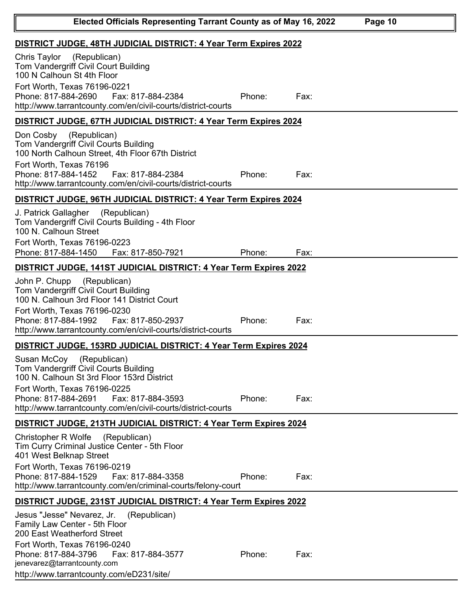| Elected Officials Representing Tarrant County as of May 16, 2022                                                                                                                                                                                                 |        |      | Page 10 |
|------------------------------------------------------------------------------------------------------------------------------------------------------------------------------------------------------------------------------------------------------------------|--------|------|---------|
| DISTRICT JUDGE, 48TH JUDICIAL DISTRICT: 4 Year Term Expires 2022                                                                                                                                                                                                 |        |      |         |
| Chris Taylor<br>(Republican)<br>Tom Vandergriff Civil Court Building<br>100 N Calhoun St 4th Floor<br>Fort Worth, Texas 76196-0221<br>Phone: 817-884-2690<br>Fax: 817-884-2384<br>http://www.tarrantcounty.com/en/civil-courts/district-courts                   | Phone: | Fax: |         |
| DISTRICT JUDGE, 67TH JUDICIAL DISTRICT: 4 Year Term Expires 2024                                                                                                                                                                                                 |        |      |         |
| (Republican)<br>Don Cosby<br>Tom Vandergriff Civil Courts Building<br>100 North Calhoun Street, 4th Floor 67th District<br>Fort Worth, Texas 76196<br>Phone: 817-884-1452<br>Fax: 817-884-2384<br>http://www.tarrantcounty.com/en/civil-courts/district-courts   | Phone: | Fax: |         |
| DISTRICT JUDGE, 96TH JUDICIAL DISTRICT: 4 Year Term Expires 2024                                                                                                                                                                                                 |        |      |         |
| (Republican)<br>J. Patrick Gallagher<br>Tom Vandergriff Civil Courts Building - 4th Floor<br>100 N. Calhoun Street<br>Fort Worth, Texas 76196-0223<br>Phone: 817-884-1450<br>Fax: 817-850-7921                                                                   | Phone: | Fax: |         |
| DISTRICT JUDGE, 141ST JUDICIAL DISTRICT: 4 Year Term Expires 2022                                                                                                                                                                                                |        |      |         |
| (Republican)<br>John P. Chupp<br>Tom Vandergriff Civil Court Building<br>100 N. Calhoun 3rd Floor 141 District Court<br>Fort Worth, Texas 76196-0230<br>Phone: 817-884-1992<br>Fax: 817-850-2937<br>http://www.tarrantcounty.com/en/civil-courts/district-courts | Phone: | Fax: |         |
| DISTRICT JUDGE, 153RD JUDICIAL DISTRICT: 4 Year Term Expires 2024                                                                                                                                                                                                |        |      |         |
| Susan McCoy (Republican)<br>Tom Vandergriff Civil Courts Building<br>100 N. Calhoun St 3rd Floor 153rd District<br>Fort Worth, Texas 76196-0225<br>Phone: 817-884-2691<br>Fax: 817-884-3593                                                                      | Phone: | Fax: |         |
| http://www.tarrantcounty.com/en/civil-courts/district-courts                                                                                                                                                                                                     |        |      |         |
| DISTRICT JUDGE, 213TH JUDICIAL DISTRICT: 4 Year Term Expires 2024<br>Christopher R Wolfe<br>(Republican)                                                                                                                                                         |        |      |         |
| Tim Curry Criminal Justice Center - 5th Floor<br>401 West Belknap Street                                                                                                                                                                                         |        |      |         |
| Fort Worth, Texas 76196-0219<br>Phone: 817-884-1529<br>Fax: 817-884-3358<br>http://www.tarrantcounty.com/en/criminal-courts/felony-court                                                                                                                         | Phone: | Fax: |         |
| DISTRICT JUDGE, 231ST JUDICIAL DISTRICT: 4 Year Term Expires 2022                                                                                                                                                                                                |        |      |         |
| Jesus "Jesse" Nevarez, Jr.<br>(Republican)<br>Family Law Center - 5th Floor<br>200 East Weatherford Street<br>Fort Worth, Texas 76196-0240                                                                                                                       |        |      |         |
| Phone: 817-884-3796<br>Fax: 817-884-3577<br>jenevarez@tarrantcounty.com<br>http://www.tarrantcounty.com/eD231/site/                                                                                                                                              | Phone: | Fax: |         |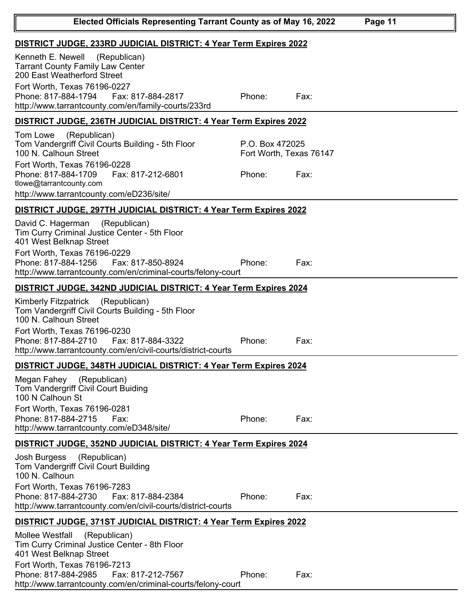| Elected Officials Representing Tarrant County as of May 16, 2022<br>Page 11                                                                                                                                                                                           |                                                      |      |  |
|-----------------------------------------------------------------------------------------------------------------------------------------------------------------------------------------------------------------------------------------------------------------------|------------------------------------------------------|------|--|
| DISTRICT JUDGE, 233RD JUDICIAL DISTRICT: 4 Year Term Expires 2022                                                                                                                                                                                                     |                                                      |      |  |
| Kenneth E. Newell<br>(Republican)<br><b>Tarrant County Family Law Center</b><br>200 East Weatherford Street<br>Fort Worth, Texas 76196-0227<br>Phone: 817-884-1794<br>Fax: 817-884-2817<br>http://www.tarrantcounty.com/en/family-courts/233rd                        | Phone:                                               | Fax: |  |
| DISTRICT JUDGE, 236TH JUDICIAL DISTRICT: 4 Year Term Expires 2022                                                                                                                                                                                                     |                                                      |      |  |
| (Republican)<br>Tom Lowe<br>Tom Vandergriff Civil Courts Building - 5th Floor<br>100 N. Calhoun Street<br>Fort Worth, Texas 76196-0228<br>Phone: 817-884-1709<br>Fax: 817-212-6801<br>tlowe@tarrantcounty.com                                                         | P.O. Box 472025<br>Fort Worth, Texas 76147<br>Phone: | Fax: |  |
| http://www.tarrantcounty.com/eD236/site/                                                                                                                                                                                                                              |                                                      |      |  |
| DISTRICT JUDGE, 297TH JUDICIAL DISTRICT: 4 Year Term Expires 2022                                                                                                                                                                                                     |                                                      |      |  |
| David C. Hagerman<br>(Republican)<br>Tim Curry Criminal Justice Center - 5th Floor<br>401 West Belknap Street<br>Fort Worth, Texas 76196-0229<br>Phone: 817-884-1256<br>Fax: 817-850-8924                                                                             | Phone:                                               | Fax: |  |
| http://www.tarrantcounty.com/en/criminal-courts/felony-court                                                                                                                                                                                                          |                                                      |      |  |
| DISTRICT JUDGE, 342ND JUDICIAL DISTRICT: 4 Year Term Expires 2024                                                                                                                                                                                                     |                                                      |      |  |
| <b>Kimberly Fitzpatrick</b><br>(Republican)<br>Tom Vandergriff Civil Courts Building - 5th Floor<br>100 N. Calhoun Street<br>Fort Worth, Texas 76196-0230<br>Phone: 817-884-2710<br>Fax: 817-884-3322<br>http://www.tarrantcounty.com/en/civil-courts/district-courts | Phone:                                               | Fax: |  |
| DISTRICT JUDGE, 348TH JUDICIAL DISTRICT: 4 Year Term Expires 2024                                                                                                                                                                                                     |                                                      |      |  |
| Megan Fahey<br>(Republican)<br>Tom Vandergriff Civil Court Buiding<br>100 N Calhoun St<br>Fort Worth, Texas 76196-0281<br>Phone: 817-884-2715<br>Fax:<br>http://www.tarrantcounty.com/eD348/site/                                                                     | Phone:                                               | Fax: |  |
| DISTRICT JUDGE, 352ND JUDICIAL DISTRICT: 4 Year Term Expires 2024                                                                                                                                                                                                     |                                                      |      |  |
| (Republican)<br>Josh Burgess<br>Tom Vandergriff Civil Court Building<br>100 N. Calhoun<br>Fort Worth, Texas 76196-7283<br>Phone: 817-884-2730<br>Fax: 817-884-2384<br>http://www.tarrantcounty.com/en/civil-courts/district-courts                                    | Phone:                                               | Fax: |  |
| DISTRICT JUDGE, 371ST JUDICIAL DISTRICT: 4 Year Term Expires 2022                                                                                                                                                                                                     |                                                      |      |  |
| (Republican)<br><b>Mollee Westfall</b><br>Tim Curry Criminal Justice Center - 8th Floor<br>401 West Belknap Street                                                                                                                                                    |                                                      |      |  |
| Fort Worth, Texas 76196-7213<br>Phone: 817-884-2985<br>Fax: 817-212-7567<br>http://www.tarrantcounty.com/en/criminal-courts/felony-court                                                                                                                              | Phone:                                               | Fax: |  |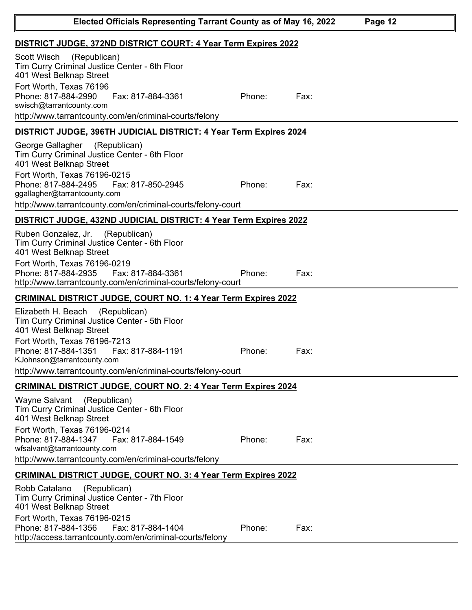| Elected Officials Representing Tarrant County as of May 16, 2022                                                                                                                                                                                                                         |        |      | Page 12 |
|------------------------------------------------------------------------------------------------------------------------------------------------------------------------------------------------------------------------------------------------------------------------------------------|--------|------|---------|
| DISTRICT JUDGE, 372ND DISTRICT COURT: 4 Year Term Expires 2022                                                                                                                                                                                                                           |        |      |         |
| Scott Wisch<br>(Republican)<br>Tim Curry Criminal Justice Center - 6th Floor<br>401 West Belknap Street<br>Fort Worth, Texas 76196<br>Phone: 817-884-2990<br>Fax: 817-884-3361<br>swisch@tarrantcounty.com<br>http://www.tarrantcounty.com/en/criminal-courts/felony                     | Phone: | Fax: |         |
| DISTRICT JUDGE, 396TH JUDICIAL DISTRICT: 4 Year Term Expires 2024                                                                                                                                                                                                                        |        |      |         |
| George Gallagher<br>(Republican)<br>Tim Curry Criminal Justice Center - 6th Floor<br>401 West Belknap Street<br>Fort Worth, Texas 76196-0215<br>Phone: 817-884-2495<br>Fax: 817-850-2945<br>ggallagher@tarrantcounty.com<br>http://www.tarrantcounty.com/en/criminal-courts/felony-court | Phone: | Fax: |         |
| DISTRICT JUDGE, 432ND JUDICIAL DISTRICT: 4 Year Term Expires 2022                                                                                                                                                                                                                        |        |      |         |
| Ruben Gonzalez, Jr.<br>(Republican)<br>Tim Curry Criminal Justice Center - 6th Floor<br>401 West Belknap Street<br>Fort Worth, Texas 76196-0219<br>Phone: 817-884-2935<br>Fax: 817-884-3361<br>http://www.tarrantcounty.com/en/criminal-courts/felony-court                              | Phone: | Fax: |         |
| <b>CRIMINAL DISTRICT JUDGE, COURT NO. 1: 4 Year Term Expires 2022</b>                                                                                                                                                                                                                    |        |      |         |
| Elizabeth H. Beach<br>(Republican)<br>Tim Curry Criminal Justice Center - 5th Floor<br>401 West Belknap Street<br>Fort Worth, Texas 76196-7213<br>Phone: 817-884-1351    Fax: 817-884-1191<br>KJohnson@tarrantcounty.com<br>http://www.tarrantcounty.com/en/criminal-courts/felony-court | Phone: | Fax: |         |
| <b>CRIMINAL DISTRICT JUDGE, COURT NO. 2: 4 Year Term Expires 2024</b>                                                                                                                                                                                                                    |        |      |         |
| <b>Wayne Salvant</b><br>(Republican)<br>Tim Curry Criminal Justice Center - 6th Floor<br>401 West Belknap Street<br>Fort Worth, Texas 76196-0214<br>Phone: 817-884-1347<br>Fax: 817-884-1549<br>wfsalvant@tarrantcounty.com<br>http://www.tarrantcounty.com/en/criminal-courts/felony    | Phone: | Fax: |         |
| <b>CRIMINAL DISTRICT JUDGE, COURT NO. 3: 4 Year Term Expires 2022</b>                                                                                                                                                                                                                    |        |      |         |
| Robb Catalano<br>(Republican)<br>Tim Curry Criminal Justice Center - 7th Floor<br>401 West Belknap Street<br>Fort Worth, Texas 76196-0215<br>Phone: 817-884-1356<br>Fax: 817-884-1404                                                                                                    | Phone: | Fax: |         |
| http://access.tarrantcounty.com/en/criminal-courts/felony                                                                                                                                                                                                                                |        |      |         |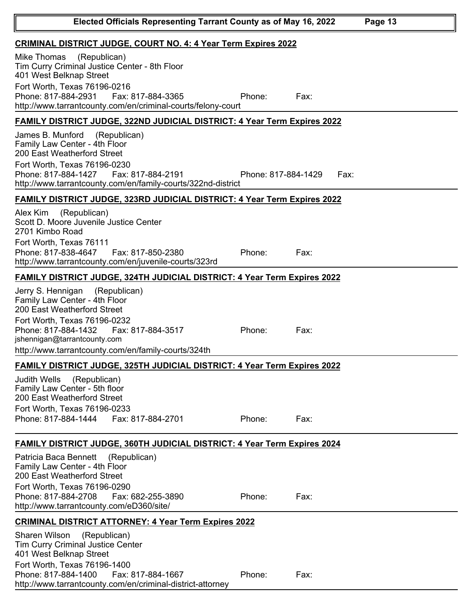| <b>CRIMINAL DISTRICT JUDGE, COURT NO. 4: 4 Year Term Expires 2022</b>                                                                                                                                                                                                |                     |      |
|----------------------------------------------------------------------------------------------------------------------------------------------------------------------------------------------------------------------------------------------------------------------|---------------------|------|
| (Republican)<br>Mike Thomas<br>Tim Curry Criminal Justice Center - 8th Floor<br>401 West Belknap Street                                                                                                                                                              |                     |      |
| Fort Worth, Texas 76196-0216                                                                                                                                                                                                                                         |                     |      |
| Phone: 817-884-2931<br>Fax: 817-884-3365<br>http://www.tarrantcounty.com/en/criminal-courts/felony-court                                                                                                                                                             | Phone:              | Fax: |
| <b>FAMILY DISTRICT JUDGE, 322ND JUDICIAL DISTRICT: 4 Year Term Expires 2022</b>                                                                                                                                                                                      |                     |      |
| James B. Munford<br>(Republican)<br>Family Law Center - 4th Floor<br>200 East Weatherford Street                                                                                                                                                                     |                     |      |
| Fort Worth, Texas 76196-0230                                                                                                                                                                                                                                         |                     |      |
| Fax: 817-884-2191<br>Phone: 817-884-1427<br>http://www.tarrantcounty.com/en/family-courts/322nd-district                                                                                                                                                             | Phone: 817-884-1429 | Fax: |
| FAMILY DISTRICT JUDGE, 323RD JUDICIAL DISTRICT: 4 Year Term Expires 2022                                                                                                                                                                                             |                     |      |
| (Republican)<br>Alex Kim<br>Scott D. Moore Juvenile Justice Center<br>2701 Kimbo Road<br>Fort Worth, Texas 76111<br>Phone: 817-838-4647<br>Fax: 817-850-2380                                                                                                         | Phone:              | Fax: |
| http://www.tarrantcounty.com/en/juvenile-courts/323rd                                                                                                                                                                                                                |                     |      |
| <b>FAMILY DISTRICT JUDGE, 324TH JUDICIAL DISTRICT: 4 Year Term Expires 2022</b>                                                                                                                                                                                      |                     |      |
| Jerry S. Hennigan<br>(Republican)<br>Family Law Center - 4th Floor<br>200 East Weatherford Street<br>Fort Worth, Texas 76196-0232<br>Phone: 817-884-1432<br>Fax: 817-884-3517<br>jshennigan@tarrantcounty.com<br>http://www.tarrantcounty.com/en/family-courts/324th | Phone:              | Fax: |
| <b>FAMILY DISTRICT JUDGE, 325TH JUDICIAL DISTRICT: 4 Year Term Expires 2022</b>                                                                                                                                                                                      |                     |      |
| Judith Wells<br>(Republican)<br>Family Law Center - 5th floor<br>200 East Weatherford Street<br>Fort Worth, Texas 76196-0233<br>Phone: 817-884-1444<br>Fax: 817-884-2701                                                                                             | Phone:              | Fax: |
| FAMILY DISTRICT JUDGE, 360TH JUDICIAL DISTRICT: 4 Year Term Expires 2024                                                                                                                                                                                             |                     |      |
| Patricia Baca Bennett<br>(Republican)<br>Family Law Center - 4th Floor<br>200 East Weatherford Street<br>Fort Worth, Texas 76196-0290<br>Phone: 817-884-2708<br>Fax: 682-255-3890<br>http://www.tarrantcounty.com/eD360/site/                                        | Phone:              | Fax: |
| <b>CRIMINAL DISTRICT ATTORNEY: 4 Year Term Expires 2022</b>                                                                                                                                                                                                          |                     |      |
| <b>Sharen Wilson</b><br>(Republican)<br>Tim Curry Criminal Justice Center<br>401 West Belknap Street<br>Fort Worth, Texas 76196-1400                                                                                                                                 |                     |      |
| Phone: 817-884-1400<br>Fax: 817-884-1667<br>http://www.tarrantcounty.com/en/criminal-district-attorney                                                                                                                                                               | Phone:              | Fax: |

∥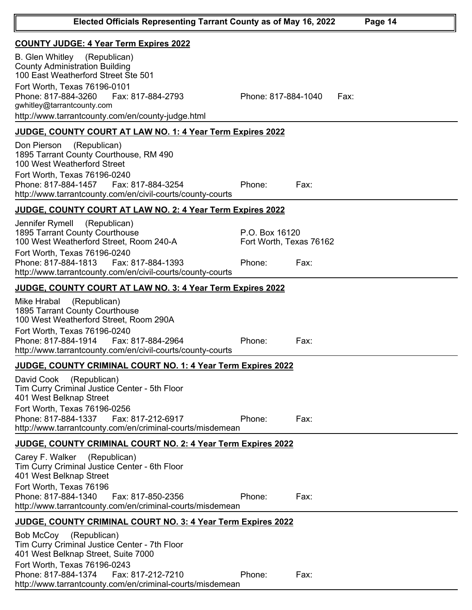| <b>COUNTY JUDGE: 4 Year Term Expires 2022</b>                                                                                                                                                                                                  |                                           |      |
|------------------------------------------------------------------------------------------------------------------------------------------------------------------------------------------------------------------------------------------------|-------------------------------------------|------|
| <b>B.</b> Glen Whitley<br>(Republican)<br><b>County Administration Building</b><br>100 East Weatherford Street Ste 501                                                                                                                         |                                           |      |
| Fort Worth, Texas 76196-0101<br>Phone: 817-884-3260<br>Fax: 817-884-2793<br>gwhitley@tarrantcounty.com<br>http://www.tarrantcounty.com/en/county-judge.html                                                                                    | Phone: 817-884-1040                       | Fax: |
| JUDGE, COUNTY COURT AT LAW NO. 1: 4 Year Term Expires 2022                                                                                                                                                                                     |                                           |      |
| (Republican)<br>Don Pierson<br>1895 Tarrant County Courthouse, RM 490<br>100 West Weatherford Street<br>Fort Worth, Texas 76196-0240<br>Phone: 817-884-1457    Fax: 817-884-3254<br>http://www.tarrantcounty.com/en/civil-courts/county-courts | Phone:                                    | Fax: |
|                                                                                                                                                                                                                                                |                                           |      |
| <b>JUDGE, COUNTY COURT AT LAW NO. 2: 4 Year Term Expires 2022</b><br>Jennifer Rymell<br>(Republican)                                                                                                                                           |                                           |      |
| 1895 Tarrant County Courthouse<br>100 West Weatherford Street, Room 240-A<br>Fort Worth, Texas 76196-0240                                                                                                                                      | P.O. Box 16120<br>Fort Worth, Texas 76162 |      |
| Phone: 817-884-1813<br>Fax: 817-884-1393<br>http://www.tarrantcounty.com/en/civil-courts/county-courts                                                                                                                                         | Phone:                                    | Fax: |
| <u>JUDGE, COUNTY COURT AT LAW NO. 3: 4 Year Term Expires 2022</u>                                                                                                                                                                              |                                           |      |
| (Republican)<br>Mike Hrabal<br>1895 Tarrant County Courthouse<br>100 West Weatherford Street, Room 290A<br>Fort Worth, Texas 76196-0240                                                                                                        |                                           |      |
| Phone: 817-884-1914<br>Fax: 817-884-2964<br>http://www.tarrantcounty.com/en/civil-courts/county-courts                                                                                                                                         | Phone:                                    | Fax: |
| JUDGE, COUNTY CRIMINAL COURT NO. 1: 4 Year Term Expires 2022                                                                                                                                                                                   |                                           |      |
| David Cook (Republican)<br>Tim Curry Criminal Justice Center - 5th Floor<br>401 West Belknap Street<br>Fort Worth, Texas 76196-0256<br>Phone: 817-884-1337<br>Fax: 817-212-6917<br>http://www.tarrantcounty.com/en/criminal-courts/misdemean   | Phone:                                    | Fax: |
| JUDGE, COUNTY CRIMINAL COURT NO. 2: 4 Year Term Expires 2022                                                                                                                                                                                   |                                           |      |
| Carey F. Walker<br>(Republican)<br>Tim Curry Criminal Justice Center - 6th Floor<br>401 West Belknap Street<br>Fort Worth, Texas 76196<br>Phone: 817-884-1340<br>Fax: 817-850-2356                                                             | Phone:                                    | Fax: |
| http://www.tarrantcounty.com/en/criminal-courts/misdemean                                                                                                                                                                                      |                                           |      |
| <b>JUDGE, COUNTY CRIMINAL COURT NO. 3: 4 Year Term Expires 2022</b>                                                                                                                                                                            |                                           |      |
| (Republican)<br>Bob McCoy<br>Tim Curry Criminal Justice Center - 7th Floor<br>401 West Belknap Street, Suite 7000                                                                                                                              |                                           |      |
| Fort Worth, Texas 76196-0243<br>Phone: 817-884-1374<br>Fax: 817-212-7210<br>http://www.tarrantcounty.com/en/criminal-courts/misdemean                                                                                                          | Phone:                                    | Fax: |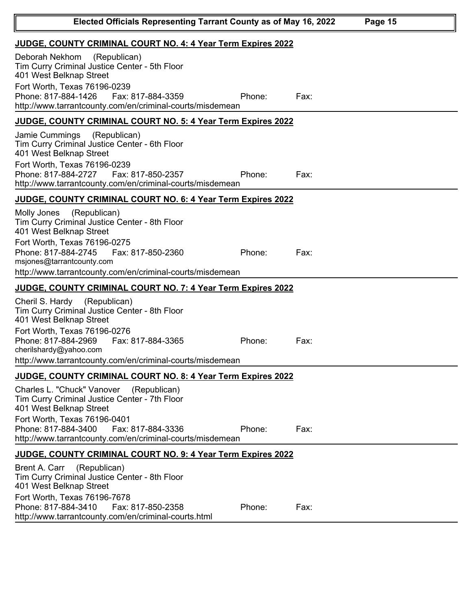| Elected Officials Representing Tarrant County as of May 16, 2022<br>Page 15                                                                                                                                                                                                   |        |      |  |
|-------------------------------------------------------------------------------------------------------------------------------------------------------------------------------------------------------------------------------------------------------------------------------|--------|------|--|
| JUDGE, COUNTY CRIMINAL COURT NO. 4: 4 Year Term Expires 2022                                                                                                                                                                                                                  |        |      |  |
| Deborah Nekhom<br>(Republican)<br>Tim Curry Criminal Justice Center - 5th Floor<br>401 West Belknap Street<br>Fort Worth, Texas 76196-0239<br>Phone: 817-884-1426<br>Fax: 817-884-3359<br>http://www.tarrantcounty.com/en/criminal-courts/misdemean                           | Phone: | Fax: |  |
| <b>JUDGE, COUNTY CRIMINAL COURT NO. 5: 4 Year Term Expires 2022</b>                                                                                                                                                                                                           |        |      |  |
| (Republican)<br>Jamie Cummings<br>Tim Curry Criminal Justice Center - 6th Floor<br>401 West Belknap Street<br>Fort Worth, Texas 76196-0239<br>Phone: 817-884-2727<br>Fax: 817-850-2357<br>http://www.tarrantcounty.com/en/criminal-courts/misdemean                           | Phone: | Fax: |  |
| JUDGE, COUNTY CRIMINAL COURT NO. 6: 4 Year Term Expires 2022                                                                                                                                                                                                                  |        |      |  |
| (Republican)<br>Molly Jones<br>Tim Curry Criminal Justice Center - 8th Floor<br>401 West Belknap Street<br>Fort Worth, Texas 76196-0275<br>Phone: 817-884-2745<br>Fax: 817-850-2360<br>msjones@tarrantcounty.com<br>http://www.tarrantcounty.com/en/criminal-courts/misdemean | Phone: | Fax: |  |
| <b>JUDGE, COUNTY CRIMINAL COURT NO. 7: 4 Year Term Expires 2022</b>                                                                                                                                                                                                           |        |      |  |
| Cheril S. Hardy (Republican)<br>Tim Curry Criminal Justice Center - 8th Floor<br>401 West Belknap Street<br>Fort Worth, Texas 76196-0276<br>Phone: 817-884-2969<br>Fax: 817-884-3365<br>cherilshardy@yahoo.com<br>http://www.tarrantcounty.com/en/criminal-courts/misdemean   | Phone: | Fax: |  |
| <b>JUDGE, COUNTY CRIMINAL COURT NO. 8: 4 Year Term Expires 2022</b>                                                                                                                                                                                                           |        |      |  |
| Charles L. "Chuck" Vanover<br>(Republican)<br>Tim Curry Criminal Justice Center - 7th Floor<br>401 West Belknap Street<br>Fort Worth, Texas 76196-0401<br>Phone: 817-884-3400<br>Fax: 817-884-3336<br>http://www.tarrantcounty.com/en/criminal-courts/misdemean               | Phone: | Fax: |  |
| JUDGE, COUNTY CRIMINAL COURT NO. 9: 4 Year Term Expires 2022                                                                                                                                                                                                                  |        |      |  |
| Brent A. Carr<br>(Republican)<br>Tim Curry Criminal Justice Center - 8th Floor<br>401 West Belknap Street<br>Fort Worth, Texas 76196-7678<br>Phone: 817-884-3410<br>Fax: 817-850-2358<br>http://www.tarrantcounty.com/en/criminal-courts.html                                 | Phone: | Fax: |  |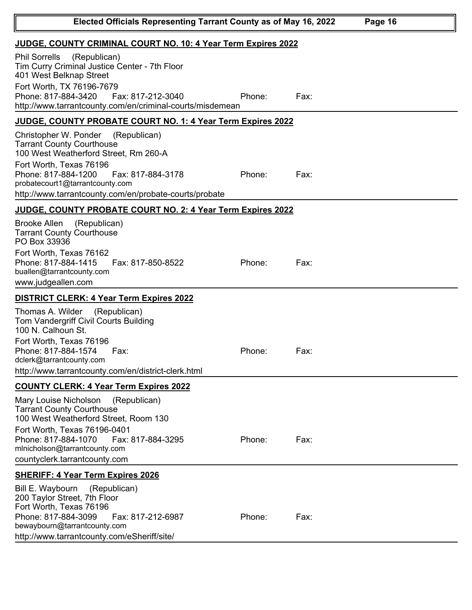| Elected Officials Representing Tarrant County as of May 16, 2022<br>Page 16                                                                                                                                                                                                            |        |      |  |  |  |  |
|----------------------------------------------------------------------------------------------------------------------------------------------------------------------------------------------------------------------------------------------------------------------------------------|--------|------|--|--|--|--|
| JUDGE, COUNTY CRIMINAL COURT NO. 10: 4 Year Term Expires 2022                                                                                                                                                                                                                          |        |      |  |  |  |  |
| <b>Phil Sorrells</b><br>(Republican)<br>Tim Curry Criminal Justice Center - 7th Floor<br>401 West Belknap Street<br>Fort Worth, TX 76196-7679<br>Phone: 817-884-3420<br>Fax: 817-212-3040<br>http://www.tarrantcounty.com/en/criminal-courts/misdemean                                 | Phone: | Fax: |  |  |  |  |
| JUDGE, COUNTY PROBATE COURT NO. 1: 4 Year Term Expires 2022                                                                                                                                                                                                                            |        |      |  |  |  |  |
| Christopher W. Ponder<br>(Republican)<br><b>Tarrant County Courthouse</b><br>100 West Weatherford Street, Rm 260-A<br>Fort Worth, Texas 76196<br>Phone: 817-884-1200<br>Fax: 817-884-3178<br>probatecourt1@tarrantcounty.com<br>http://www.tarrantcounty.com/en/probate-courts/probate | Phone: | Fax: |  |  |  |  |
| JUDGE, COUNTY PROBATE COURT NO. 2: 4 Year Term Expires 2022                                                                                                                                                                                                                            |        |      |  |  |  |  |
| <b>Brooke Allen</b><br>(Republican)<br><b>Tarrant County Courthouse</b><br>PO Box 33936<br>Fort Worth, Texas 76162<br>Phone: 817-884-1415<br>Fax: 817-850-8522<br>buallen@tarrantcounty.com<br>www.judgeallen.com                                                                      | Phone: | Fax: |  |  |  |  |
| DISTRICT CLERK: 4 Year Term Expires 2022                                                                                                                                                                                                                                               |        |      |  |  |  |  |
| Thomas A. Wilder<br>(Republican)<br>Tom Vandergriff Civil Courts Building<br>100 N. Calhoun St.<br>Fort Worth, Texas 76196<br>Phone: 817-884-1574<br>Fax:<br>dclerk@tarrantcounty.com<br>http://www.tarrantcounty.com/en/district-clerk.html                                           | Phone: | Fax: |  |  |  |  |
| <b>COUNTY CLERK: 4 Year Term Expires 2022</b>                                                                                                                                                                                                                                          |        |      |  |  |  |  |
| Mary Louise Nicholson<br>(Republican)<br><b>Tarrant County Courthouse</b><br>100 West Weatherford Street, Room 130<br>Fort Worth, Texas 76196-0401<br>Fax: 817-884-3295<br>Phone: 817-884-1070<br>mlnicholson@tarrantcounty.com<br>countyclerk.tarrantcounty.com                       | Phone: | Fax: |  |  |  |  |
| <b>SHERIFF: 4 Year Term Expires 2026</b>                                                                                                                                                                                                                                               |        |      |  |  |  |  |
| Bill E. Waybourn<br>(Republican)<br>200 Taylor Street, 7th Floor<br>Fort Worth, Texas 76196<br>Phone: 817-884-3099<br>Fax: 817-212-6987<br>bewaybourn@tarrantcounty.com<br>http://www.tarrantcounty.com/eSheriff/site/                                                                 | Phone: | Fax: |  |  |  |  |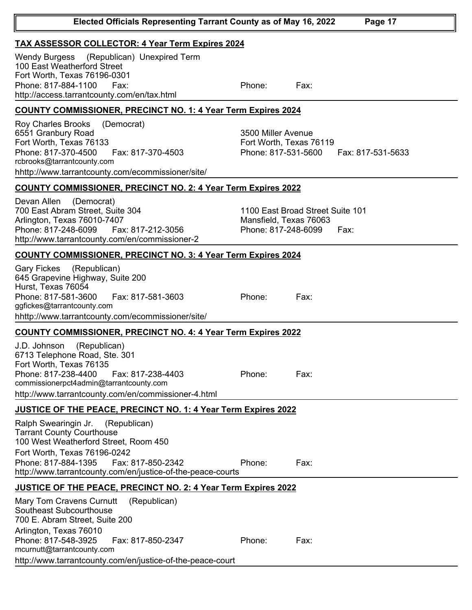| Phone: 817-884-1100<br>Fax:<br>http://access.tarrantcounty.com/en/tax.html                                                                                                                                                                                              | Phone:                                                               | Fax:                                     |  |  |  |  |
|-------------------------------------------------------------------------------------------------------------------------------------------------------------------------------------------------------------------------------------------------------------------------|----------------------------------------------------------------------|------------------------------------------|--|--|--|--|
| <b>COUNTY COMMISSIONER, PRECINCT NO. 1: 4 Year Term Expires 2024</b>                                                                                                                                                                                                    |                                                                      |                                          |  |  |  |  |
| <b>Roy Charles Brooks</b><br>(Democrat)<br>6551 Granbury Road<br>Fort Worth, Texas 76133<br>Phone: 817-370-4500<br>Fax: 817-370-4503<br>rcbrooks@tarrantcounty.com<br>hhttp://www.tarrantcounty.com/ecommissioner/site/                                                 | 3500 Miller Avenue<br>Fort Worth, Texas 76119<br>Phone: 817-531-5600 | Fax: 817-531-5633                        |  |  |  |  |
| <b>COUNTY COMMISSIONER, PRECINCT NO. 2: 4 Year Term Expires 2022</b>                                                                                                                                                                                                    |                                                                      |                                          |  |  |  |  |
| (Democrat)<br>Devan Allen<br>700 East Abram Street, Suite 304<br>Arlington, Texas 76010-7407<br>Phone: 817-248-6099<br>Fax: 817-212-3056<br>http://www.tarrantcounty.com/en/commissioner-2                                                                              | Mansfield, Texas 76063<br>Phone: 817-248-6099                        | 1100 East Broad Street Suite 101<br>Fax: |  |  |  |  |
| <b>COUNTY COMMISSIONER, PRECINCT NO. 3: 4 Year Term Expires 2024</b>                                                                                                                                                                                                    |                                                                      |                                          |  |  |  |  |
| Gary Fickes<br>(Republican)<br>645 Grapevine Highway, Suite 200<br>Hurst, Texas 76054<br>Phone: 817-581-3600<br>Fax: 817-581-3603<br>ggfickes@tarrantcounty.com<br>hhttp://www.tarrantcounty.com/ecommissioner/site/                                                    | Phone:                                                               | Fax:                                     |  |  |  |  |
| <b>COUNTY COMMISSIONER, PRECINCT NO. 4: 4 Year Term Expires 2022</b>                                                                                                                                                                                                    |                                                                      |                                          |  |  |  |  |
| (Republican)<br>J.D. Johnson<br>6713 Telephone Road, Ste. 301<br>Fort Worth, Texas 76135<br>Phone: 817-238-4400<br>Fax: 817-238-4403<br>commissionerpct4admin@tarrantcounty.com<br>http://www.tarrantcounty.com/en/commissioner-4.html                                  | Phone:                                                               | Fax:                                     |  |  |  |  |
| <b>JUSTICE OF THE PEACE, PRECINCT NO. 1: 4 Year Term Expires 2022</b>                                                                                                                                                                                                   |                                                                      |                                          |  |  |  |  |
| Ralph Swearingin Jr.<br>(Republican)<br><b>Tarrant County Courthouse</b><br>100 West Weatherford Street, Room 450<br>Fort Worth, Texas 76196-0242<br>Phone: 817-884-1395<br>Fax: 817-850-2342<br>http://www.tarrantcounty.com/en/justice-of-the-peace-courts            | Phone:                                                               | Fax:                                     |  |  |  |  |
| <b>JUSTICE OF THE PEACE, PRECINCT NO. 2: 4 Year Term Expires 2022</b>                                                                                                                                                                                                   |                                                                      |                                          |  |  |  |  |
| Mary Tom Cravens Curnutt<br>(Republican)<br>Southeast Subcourthouse<br>700 E. Abram Street, Suite 200<br>Arlington, Texas 76010<br>Phone: 817-548-3925<br>Fax: 817-850-2347<br>mcurnutt@tarrantcounty.com<br>http://www.tarrantcounty.com/en/justice-of-the-peace-court | Phone:                                                               | Fax:                                     |  |  |  |  |
|                                                                                                                                                                                                                                                                         |                                                                      |                                          |  |  |  |  |

**TAX ASSESSOR COLLECTOR: 4 Year Term Expires 2024**

100 East Weatherford Street Fort Worth, Texas 76196-0301 Wendy Burgess (Republican) Unexpired Term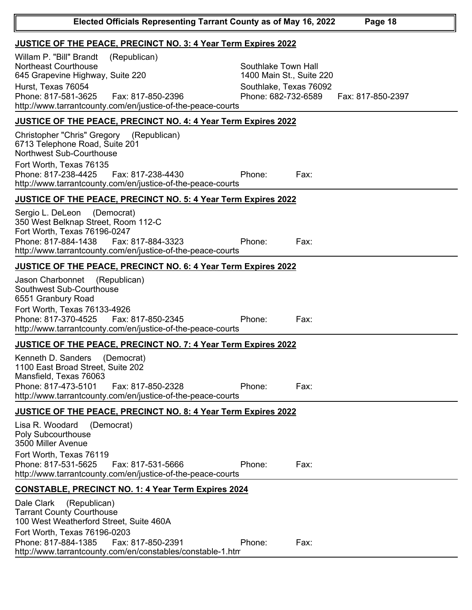| JUSTICE OF THE PEACE, PRECINCT NO. 3: 4 Year Term Expires 2022                                                                                                                                                                                  |                                                                                                                       |  |  |  |  |
|-------------------------------------------------------------------------------------------------------------------------------------------------------------------------------------------------------------------------------------------------|-----------------------------------------------------------------------------------------------------------------------|--|--|--|--|
| Willam P. "Bill" Brandt<br>(Republican)<br><b>Northeast Courthouse</b><br>645 Grapevine Highway, Suite 220<br>Hurst, Texas 76054<br>Phone: 817-581-3625<br>Fax: 817-850-2396<br>http://www.tarrantcounty.com/en/justice-of-the-peace-courts     | Southlake Town Hall<br>1400 Main St., Suite 220<br>Southlake, Texas 76092<br>Phone: 682-732-6589<br>Fax: 817-850-2397 |  |  |  |  |
| <b>JUSTICE OF THE PEACE, PRECINCT NO. 4: 4 Year Term Expires 2022</b>                                                                                                                                                                           |                                                                                                                       |  |  |  |  |
| (Republican)<br>Christopher "Chris" Gregory<br>6713 Telephone Road, Suite 201<br>Northwest Sub-Courthouse<br>Fort Worth, Texas 76135<br>Phone: 817-238-4425<br>Fax: 817-238-4430<br>http://www.tarrantcounty.com/en/justice-of-the-peace-courts | Phone:<br>Fax:                                                                                                        |  |  |  |  |
| <b>JUSTICE OF THE PEACE, PRECINCT NO. 5: 4 Year Term Expires 2022</b>                                                                                                                                                                           |                                                                                                                       |  |  |  |  |
| (Democrat)<br>Sergio L. DeLeon<br>350 West Belknap Street, Room 112-C<br>Fort Worth, Texas 76196-0247<br>Phone: 817-884-1438<br>Fax: 817-884-3323<br>http://www.tarrantcounty.com/en/justice-of-the-peace-courts                                | Phone:<br>Fax:                                                                                                        |  |  |  |  |
| JUSTICE OF THE PEACE, PRECINCT NO. 6: 4 Year Term Expires 2022                                                                                                                                                                                  |                                                                                                                       |  |  |  |  |
| (Republican)<br>Jason Charbonnet<br>Southwest Sub-Courthouse<br>6551 Granbury Road<br>Fort Worth, Texas 76133-4926<br>Phone: 817-370-4525<br>Fax: 817-850-2345<br>http://www.tarrantcounty.com/en/justice-of-the-peace-courts                   | Fax:<br>Phone:                                                                                                        |  |  |  |  |
| <b>JUSTICE OF THE PEACE, PRECINCT NO. 7: 4 Year Term Expires 2022</b>                                                                                                                                                                           |                                                                                                                       |  |  |  |  |
| Kenneth D. Sanders<br>(Democrat)<br>1100 East Broad Street, Suite 202<br>Mansfield, Texas 76063<br>Phone: 817-473-5101<br>Fax: 817-850-2328<br>http://www.tarrantcounty.com/en/justice-of-the-peace-courts                                      | Phone:<br>Fax:                                                                                                        |  |  |  |  |
| JUSTICE OF THE PEACE, PRECINCT NO. 8: 4 Year Term Expires 2022                                                                                                                                                                                  |                                                                                                                       |  |  |  |  |
| Lisa R. Woodard<br>(Democrat)<br>Poly Subcourthouse<br>3500 Miller Avenue<br>Fort Worth, Texas 76119<br>Phone: 817-531-5625<br>Fax: 817-531-5666<br>http://www.tarrantcounty.com/en/justice-of-the-peace-courts                                 | Phone:<br>Fax:                                                                                                        |  |  |  |  |
| <b>CONSTABLE, PRECINCT NO. 1: 4 Year Term Expires 2024</b>                                                                                                                                                                                      |                                                                                                                       |  |  |  |  |
| Dale Clark<br>(Republican)<br><b>Tarrant County Courthouse</b><br>100 West Weatherford Street, Suite 460A<br>Fort Worth, Texas 76196-0203<br>Phone: 817-884-1385<br>Fax: 817-850-2391                                                           | Phone:<br>Fax:                                                                                                        |  |  |  |  |
| http://www.tarrantcounty.com/en/constables/constable-1.htm                                                                                                                                                                                      |                                                                                                                       |  |  |  |  |